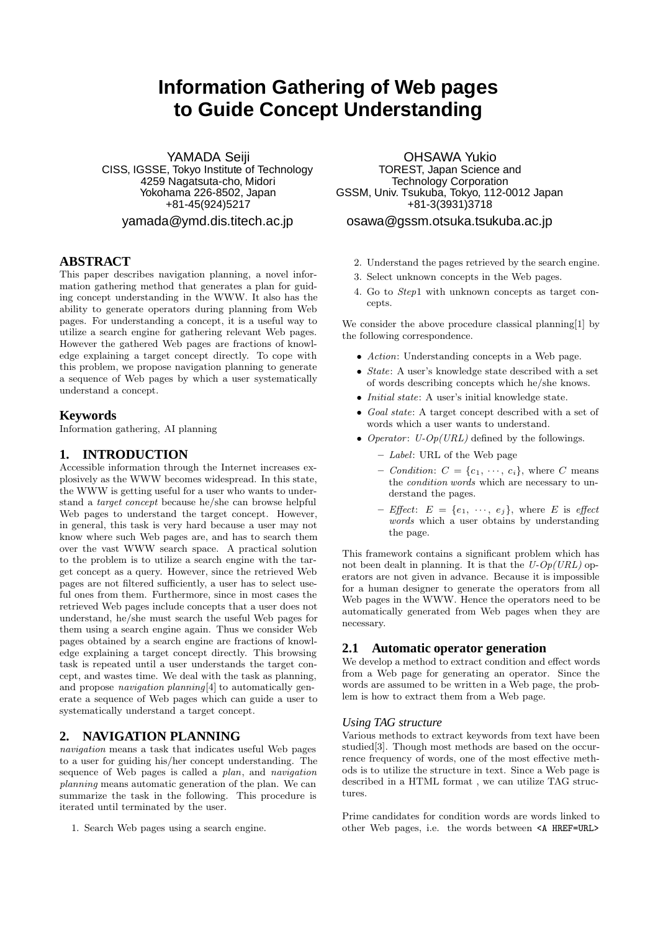# **Information Gathering of Web pages to Guide Concept Understanding**

YAMADA Seiji CISS, IGSSE, Tokyo Institute of Technology 4259 Nagatsuta-cho, Midori Yokohama 226-8502, Japan +81-45(924)5217 yamada@ymd.dis.titech.ac.jp

## **ABSTRACT**

This paper describes navigation planning, a novel information gathering method that generates a plan for guiding concept understanding in the WWW. It also has the ability to generate operators during planning from Web pages. For understanding a concept, it is a useful way to utilize a search engine for gathering relevant Web pages. However the gathered Web pages are fractions of knowledge explaining a target concept directly. To cope with this problem, we propose navigation planning to generate a sequence of Web pages by which a user systematically understand a concept.

## **Keywords**

Information gathering, AI planning

## **1. INTRODUCTION**

Accessible information through the Internet increases explosively as the WWW becomes widespread. In this state, the WWW is getting useful for a user who wants to understand a target concept because he/she can browse helpful Web pages to understand the target concept. However, in general, this task is very hard because a user may not know where such Web pages are, and has to search them over the vast WWW search space. A practical solution to the problem is to utilize a search engine with the target concept as a query. However, since the retrieved Web pages are not filtered sufficiently, a user has to select useful ones from them. Furthermore, since in most cases the retrieved Web pages include concepts that a user does not understand, he/she must search the useful Web pages for them using a search engine again. Thus we consider Web pages obtained by a search engine are fractions of knowledge explaining a target concept directly. This browsing task is repeated until a user understands the target concept, and wastes time. We deal with the task as planning, and propose *navigation planning*[4] to automatically generate a sequence of Web pages which can guide a user to systematically understand a target concept.

## **2. NAVIGATION PLANNING**

navigation means a task that indicates useful Web pages to a user for guiding his/her concept understanding. The sequence of Web pages is called a plan, and navigation planning means automatic generation of the plan. We can summarize the task in the following. This procedure is iterated until terminated by the user.

1. Search Web pages using a search engine.

OHSAWA Yukio TOREST, Japan Science and Technology Corporation GSSM, Univ. Tsukuba, Tokyo, 112-0012 Japan +81-3(3931)3718

## osawa@gssm.otsuka.tsukuba.ac.jp

- 2. Understand the pages retrieved by the search engine.
- 3. Select unknown concepts in the Web pages.
- 4. Go to Step1 with unknown concepts as target concepts.

We consider the above procedure classical planning[1] by the following correspondence.

- Action: Understanding concepts in a Web page.
- *State:* A user's knowledge state described with a set of words describing concepts which he/she knows.
- *Initial state*: A user's initial knowledge state.
- *•* Goal state: A target concept described with a set of words which a user wants to understand.
- *Operator: U-Op(URL)* defined by the followings.
	- **–** Label: URL of the Web page
	- $-$  *Condition:*  $C = \{c_1, \dots, c_i\}$ , where *C* means the condition words which are necessary to understand the pages.
	- $E = \{e_1, \dots, e_j\}$ , where *E* is effect words which a user obtains by understanding the page.

This framework contains a significant problem which has not been dealt in planning. It is that the  $U$ - $Op(URL)$  operators are not given in advance. Because it is impossible for a human designer to generate the operators from all Web pages in the WWW. Hence the operators need to be automatically generated from Web pages when they are necessary.

## **2.1 Automatic operator generation**

We develop a method to extract condition and effect words from a Web page for generating an operator. Since the words are assumed to be written in a Web page, the problem is how to extract them from a Web page.

#### *Using TAG structure*

Various methods to extract keywords from text have been studied[3]. Though most methods are based on the occurrence frequency of words, one of the most effective methods is to utilize the structure in text. Since a Web page is described in a HTML format , we can utilize TAG structures.

Prime candidates for condition words are words linked to other Web pages, i.e. the words between <A HREF=URL>